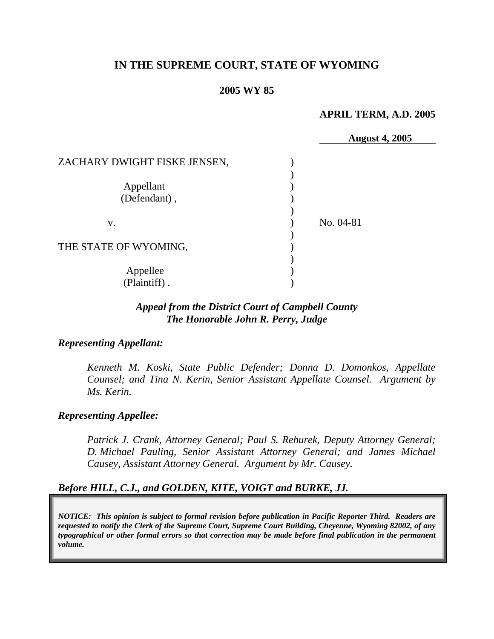# **IN THE SUPREME COURT, STATE OF WYOMING**

### **2005 WY 85**

#### **APRIL TERM, A.D. 2005**

|                              | <b>August 4, 2005</b> |
|------------------------------|-----------------------|
| ZACHARY DWIGHT FISKE JENSEN, |                       |
|                              |                       |
| Appellant                    |                       |
| (Defendant),                 |                       |
|                              |                       |
| V.                           | No. 04-81             |
|                              |                       |
| THE STATE OF WYOMING,        |                       |
|                              |                       |
| Appellee                     |                       |
| (Plaintiff).                 |                       |

# *Appeal from the District Court of Campbell County The Honorable John R. Perry, Judge*

#### *Representing Appellant:*

*Kenneth M. Koski, State Public Defender; Donna D. Domonkos, Appellate Counsel; and Tina N. Kerin, Senior Assistant Appellate Counsel. Argument by Ms. Kerin.* 

#### *Representing Appellee:*

*Patrick J. Crank, Attorney General; Paul S. Rehurek, Deputy Attorney General; D. Michael Pauling, Senior Assistant Attorney General; and James Michael Causey, Assistant Attorney General. Argument by Mr. Causey.* 

# *Before HILL, C.J., and GOLDEN, KITE, VOIGT and BURKE, JJ.*

*NOTICE: This opinion is subject to formal revision before publication in Pacific Reporter Third. Readers are requested to notify the Clerk of the Supreme Court, Supreme Court Building, Cheyenne, Wyoming 82002, of any typographical or other formal errors so that correction may be made before final publication in the permanent volume.*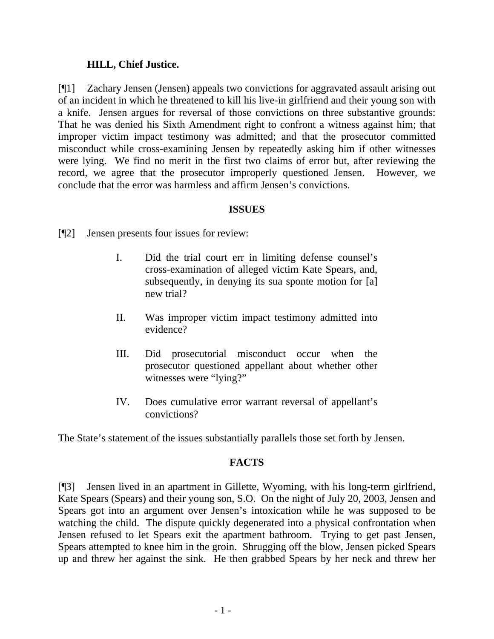### **HILL, Chief Justice.**

[¶1] Zachary Jensen (Jensen) appeals two convictions for aggravated assault arising out of an incident in which he threatened to kill his live-in girlfriend and their young son with a knife. Jensen argues for reversal of those convictions on three substantive grounds: That he was denied his Sixth Amendment right to confront a witness against him; that improper victim impact testimony was admitted; and that the prosecutor committed misconduct while cross-examining Jensen by repeatedly asking him if other witnesses were lying. We find no merit in the first two claims of error but, after reviewing the record, we agree that the prosecutor improperly questioned Jensen. However, we conclude that the error was harmless and affirm Jensen's convictions.

### **ISSUES**

[¶2] Jensen presents four issues for review:

- I. Did the trial court err in limiting defense counsel's cross-examination of alleged victim Kate Spears, and, subsequently, in denying its sua sponte motion for [a] new trial?
- II. Was improper victim impact testimony admitted into evidence?
- III. Did prosecutorial misconduct occur when the prosecutor questioned appellant about whether other witnesses were "lying?"
- IV. Does cumulative error warrant reversal of appellant's convictions?

The State's statement of the issues substantially parallels those set forth by Jensen.

# **FACTS**

[¶3] Jensen lived in an apartment in Gillette, Wyoming, with his long-term girlfriend, Kate Spears (Spears) and their young son, S.O. On the night of July 20, 2003, Jensen and Spears got into an argument over Jensen's intoxication while he was supposed to be watching the child. The dispute quickly degenerated into a physical confrontation when Jensen refused to let Spears exit the apartment bathroom. Trying to get past Jensen, Spears attempted to knee him in the groin. Shrugging off the blow, Jensen picked Spears up and threw her against the sink. He then grabbed Spears by her neck and threw her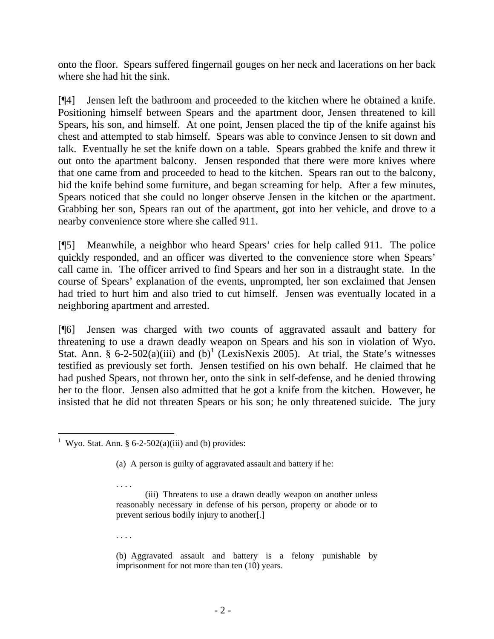onto the floor. Spears suffered fingernail gouges on her neck and lacerations on her back where she had hit the sink.

[¶4] Jensen left the bathroom and proceeded to the kitchen where he obtained a knife. Positioning himself between Spears and the apartment door, Jensen threatened to kill Spears, his son, and himself. At one point, Jensen placed the tip of the knife against his chest and attempted to stab himself. Spears was able to convince Jensen to sit down and talk. Eventually he set the knife down on a table. Spears grabbed the knife and threw it out onto the apartment balcony. Jensen responded that there were more knives where that one came from and proceeded to head to the kitchen. Spears ran out to the balcony, hid the knife behind some furniture, and began screaming for help. After a few minutes, Spears noticed that she could no longer observe Jensen in the kitchen or the apartment. Grabbing her son, Spears ran out of the apartment, got into her vehicle, and drove to a nearby convenience store where she called 911.

[¶5] Meanwhile, a neighbor who heard Spears' cries for help called 911. The police quickly responded, and an officer was diverted to the convenience store when Spears' call came in. The officer arrived to find Spears and her son in a distraught state. In the course of Spears' explanation of the events, unprompted, her son exclaimed that Jensen had tried to hurt him and also tried to cut himself. Jensen was eventually located in a neighboring apartment and arrested.

[¶6] Jensen was charged with two counts of aggravated assault and battery for threatening to use a drawn deadly weapon on Spears and his son in violation of Wyo. Stat. Ann. § 6-2-502(a)(iii) and  $(b)^1$  (LexisNexis 2005). At trial, the State's witnesses testified as previously set forth. Jensen testified on his own behalf. He claimed that he had pushed Spears, not thrown her, onto the sink in self-defense, and he denied throwing her to the floor. Jensen also admitted that he got a knife from the kitchen. However, he insisted that he did not threaten Spears or his son; he only threatened suicide. The jury

. . . .

. . . .

<span id="page-3-0"></span> <sup>1</sup> Wyo. Stat. Ann. § 6-2-502(a)(iii) and (b) provides:

<sup>(</sup>a) A person is guilty of aggravated assault and battery if he:

<sup>(</sup>iii) Threatens to use a drawn deadly weapon on another unless reasonably necessary in defense of his person, property or abode or to prevent serious bodily injury to another[.]

<sup>(</sup>b) Aggravated assault and battery is a felony punishable by imprisonment for not more than ten (10) years.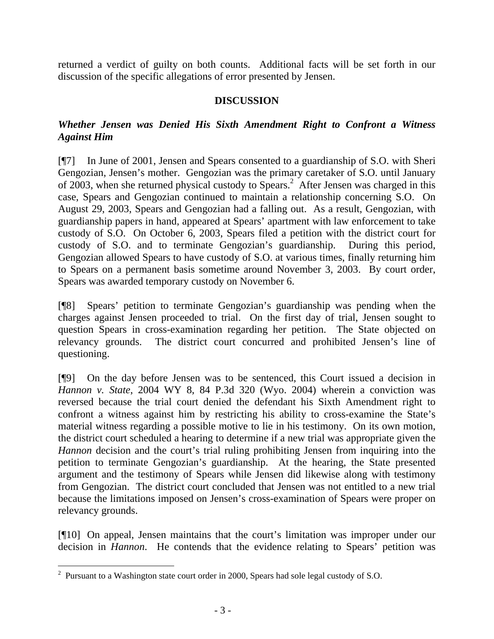returned a verdict of guilty on both counts. Additional facts will be set forth in our discussion of the specific allegations of error presented by Jensen.

# **DISCUSSION**

# *Whether Jensen was Denied His Sixth Amendment Right to Confront a Witness Against Him*

[¶7] In June of 2001, Jensen and Spears consented to a guardianship of S.O. with Sheri Gengozian, Jensen's mother. Gengozian was the primary caretaker of S.O. until January of [2](#page-4-0)003, when she returned physical custody to Spears.<sup>2</sup> After Jensen was charged in this case, Spears and Gengozian continued to maintain a relationship concerning S.O. On August 29, 2003, Spears and Gengozian had a falling out. As a result, Gengozian, with guardianship papers in hand, appeared at Spears' apartment with law enforcement to take custody of S.O. On October 6, 2003, Spears filed a petition with the district court for custody of S.O. and to terminate Gengozian's guardianship. During this period, Gengozian allowed Spears to have custody of S.O. at various times, finally returning him to Spears on a permanent basis sometime around November 3, 2003. By court order, Spears was awarded temporary custody on November 6.

[¶8] Spears' petition to terminate Gengozian's guardianship was pending when the charges against Jensen proceeded to trial. On the first day of trial, Jensen sought to question Spears in cross-examination regarding her petition. The State objected on relevancy grounds. The district court concurred and prohibited Jensen's line of questioning.

[¶9] On the day before Jensen was to be sentenced, this Court issued a decision in *Hannon v. State*, 2004 WY 8, 84 P.3d 320 (Wyo. 2004) wherein a conviction was reversed because the trial court denied the defendant his Sixth Amendment right to confront a witness against him by restricting his ability to cross-examine the State's material witness regarding a possible motive to lie in his testimony. On its own motion, the district court scheduled a hearing to determine if a new trial was appropriate given the *Hannon* decision and the court's trial ruling prohibiting Jensen from inquiring into the petition to terminate Gengozian's guardianship. At the hearing, the State presented argument and the testimony of Spears while Jensen did likewise along with testimony from Gengozian. The district court concluded that Jensen was not entitled to a new trial because the limitations imposed on Jensen's cross-examination of Spears were proper on relevancy grounds.

[¶10] On appeal, Jensen maintains that the court's limitation was improper under our decision in *Hannon*. He contends that the evidence relating to Spears' petition was

<span id="page-4-0"></span><sup>&</sup>lt;sup>2</sup> Pursuant to a Washington state court order in 2000, Spears had sole legal custody of S.O.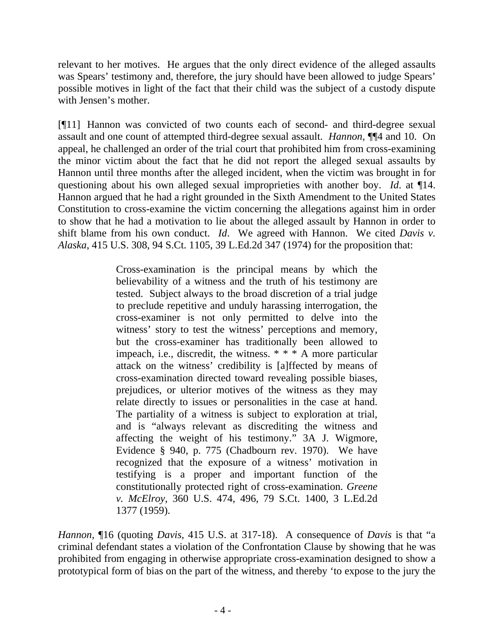relevant to her motives. He argues that the only direct evidence of the alleged assaults was Spears' testimony and, therefore, the jury should have been allowed to judge Spears' possible motives in light of the fact that their child was the subject of a custody dispute with Jensen's mother.

[¶11] Hannon was convicted of two counts each of second- and third-degree sexual assault and one count of attempted third-degree sexual assault. *Hannon*, ¶¶4 and 10. On appeal, he challenged an order of the trial court that prohibited him from cross-examining the minor victim about the fact that he did not report the alleged sexual assaults by Hannon until three months after the alleged incident, when the victim was brought in for questioning about his own alleged sexual improprieties with another boy. *Id*. at ¶14. Hannon argued that he had a right grounded in the Sixth Amendment to the United States Constitution to cross-examine the victim concerning the allegations against him in order to show that he had a motivation to lie about the alleged assault by Hannon in order to shift blame from his own conduct. *Id*. We agreed with Hannon. We cited *Davis v. Alaska*, 415 U.S. 308, 94 S.Ct. 1105, 39 L.Ed.2d 347 (1974) for the proposition that:

> Cross-examination is the principal means by which the believability of a witness and the truth of his testimony are tested. Subject always to the broad discretion of a trial judge to preclude repetitive and unduly harassing interrogation, the cross-examiner is not only permitted to delve into the witness' story to test the witness' perceptions and memory, but the cross-examiner has traditionally been allowed to impeach, i.e., discredit, the witness. \* \* \* A more particular attack on the witness' credibility is [a]ffected by means of cross-examination directed toward revealing possible biases, prejudices, or ulterior motives of the witness as they may relate directly to issues or personalities in the case at hand. The partiality of a witness is subject to exploration at trial, and is "always relevant as discrediting the witness and affecting the weight of his testimony." 3A J. Wigmore, Evidence § 940, p. 775 (Chadbourn rev. 1970). We have recognized that the exposure of a witness' motivation in testifying is a proper and important function of the constitutionally protected right of cross-examination. *Greene v. McElroy*, 360 U.S. 474, 496, 79 S.Ct. 1400, 3 L.Ed.2d 1377 (1959).

*Hannon*, ¶16 (quoting *Davis*, 415 U.S. at 317-18). A consequence of *Davis* is that "a criminal defendant states a violation of the Confrontation Clause by showing that he was prohibited from engaging in otherwise appropriate cross-examination designed to show a prototypical form of bias on the part of the witness, and thereby 'to expose to the jury the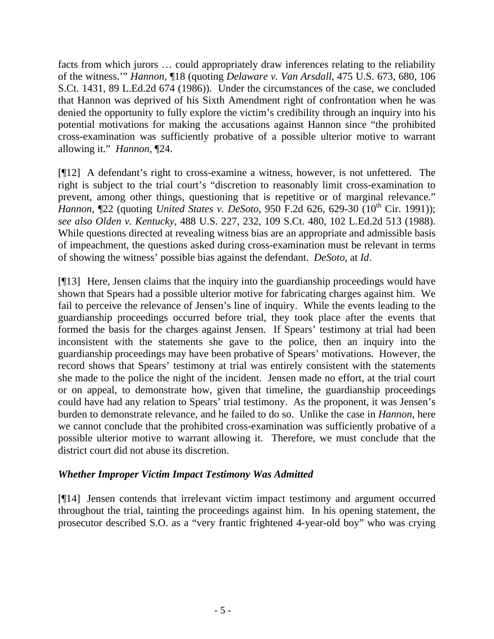facts from which jurors … could appropriately draw inferences relating to the reliability of the witness.'" *Hannon*, ¶18 (quoting *Delaware v. Van Arsdall*, 475 U.S. 673, 680, 106 S.Ct. 1431, 89 L.Ed.2d 674 (1986)). Under the circumstances of the case, we concluded that Hannon was deprived of his Sixth Amendment right of confrontation when he was denied the opportunity to fully explore the victim's credibility through an inquiry into his potential motivations for making the accusations against Hannon since "the prohibited cross-examination was sufficiently probative of a possible ulterior motive to warrant allowing it." *Hannon*, ¶24.

[¶12] A defendant's right to cross-examine a witness, however, is not unfettered. The right is subject to the trial court's "discretion to reasonably limit cross-examination to prevent, among other things, questioning that is repetitive or of marginal relevance." *Hannon*, 122 (quoting *United States v. DeSoto*, 950 F.2d 626, 629-30 (10<sup>th</sup> Cir. 1991)); *see also Olden v. Kentucky*, 488 U.S. 227, 232, 109 S.Ct. 480, 102 L.Ed.2d 513 (1988). While questions directed at revealing witness bias are an appropriate and admissible basis of impeachment, the questions asked during cross-examination must be relevant in terms of showing the witness' possible bias against the defendant. *DeSoto*, at *Id*.

[¶13] Here, Jensen claims that the inquiry into the guardianship proceedings would have shown that Spears had a possible ulterior motive for fabricating charges against him. We fail to perceive the relevance of Jensen's line of inquiry. While the events leading to the guardianship proceedings occurred before trial, they took place after the events that formed the basis for the charges against Jensen. If Spears' testimony at trial had been inconsistent with the statements she gave to the police, then an inquiry into the guardianship proceedings may have been probative of Spears' motivations. However, the record shows that Spears' testimony at trial was entirely consistent with the statements she made to the police the night of the incident. Jensen made no effort, at the trial court or on appeal, to demonstrate how, given that timeline, the guardianship proceedings could have had any relation to Spears' trial testimony. As the proponent, it was Jensen's burden to demonstrate relevance, and he failed to do so. Unlike the case in *Hannon*, here we cannot conclude that the prohibited cross-examination was sufficiently probative of a possible ulterior motive to warrant allowing it. Therefore, we must conclude that the district court did not abuse its discretion.

# *Whether Improper Victim Impact Testimony Was Admitted*

[¶14] Jensen contends that irrelevant victim impact testimony and argument occurred throughout the trial, tainting the proceedings against him. In his opening statement, the prosecutor described S.O. as a "very frantic frightened 4-year-old boy" who was crying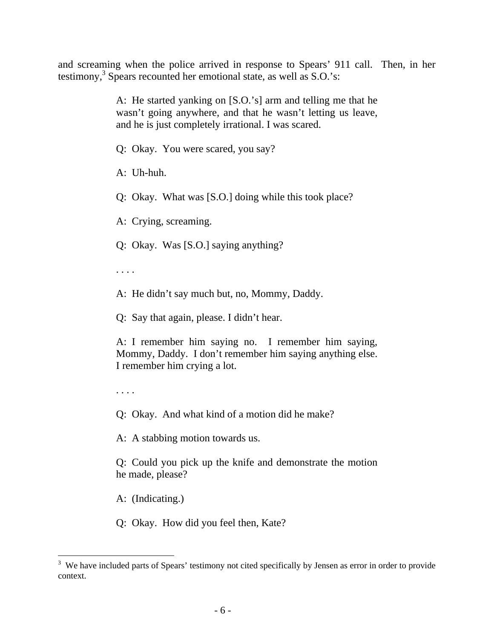and screaming when the police arrived in response to Spears' 911 call. Then, in her testimony,<sup>[3](#page-7-0)</sup> Spears recounted her emotional state, as well as S.O.'s:

> A: He started yanking on [S.O.'s] arm and telling me that he wasn't going anywhere, and that he wasn't letting us leave, and he is just completely irrational. I was scared.

Q: Okay. You were scared, you say?

A: Uh-huh.

Q: Okay. What was [S.O.] doing while this took place?

A: Crying, screaming.

Q: Okay. Was [S.O.] saying anything?

. . . .

A: He didn't say much but, no, Mommy, Daddy.

Q: Say that again, please. I didn't hear.

A: I remember him saying no. I remember him saying, Mommy, Daddy. I don't remember him saying anything else. I remember him crying a lot.

. . . .

Q: Okay. And what kind of a motion did he make?

A: A stabbing motion towards us.

Q: Could you pick up the knife and demonstrate the motion he made, please?

A: (Indicating.)

Q: Okay. How did you feel then, Kate?

<span id="page-7-0"></span><sup>&</sup>lt;sup>3</sup> We have included parts of Spears' testimony not cited specifically by Jensen as error in order to provide context.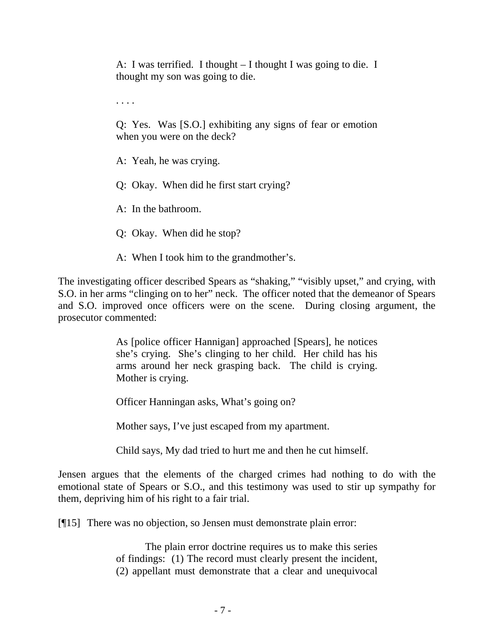A: I was terrified. I thought – I thought I was going to die. I thought my son was going to die.

. . . .

Q: Yes. Was [S.O.] exhibiting any signs of fear or emotion when you were on the deck?

A: Yeah, he was crying.

Q: Okay. When did he first start crying?

A: In the bathroom.

Q: Okay. When did he stop?

A: When I took him to the grandmother's.

The investigating officer described Spears as "shaking," "visibly upset," and crying, with S.O. in her arms "clinging on to her" neck. The officer noted that the demeanor of Spears and S.O. improved once officers were on the scene. During closing argument, the prosecutor commented:

> As [police officer Hannigan] approached [Spears], he notices she's crying. She's clinging to her child. Her child has his arms around her neck grasping back. The child is crying. Mother is crying.

Officer Hanningan asks, What's going on?

Mother says, I've just escaped from my apartment.

Child says, My dad tried to hurt me and then he cut himself.

Jensen argues that the elements of the charged crimes had nothing to do with the emotional state of Spears or S.O., and this testimony was used to stir up sympathy for them, depriving him of his right to a fair trial.

[¶15] There was no objection, so Jensen must demonstrate plain error:

The plain error doctrine requires us to make this series of findings: (1) The record must clearly present the incident, (2) appellant must demonstrate that a clear and unequivocal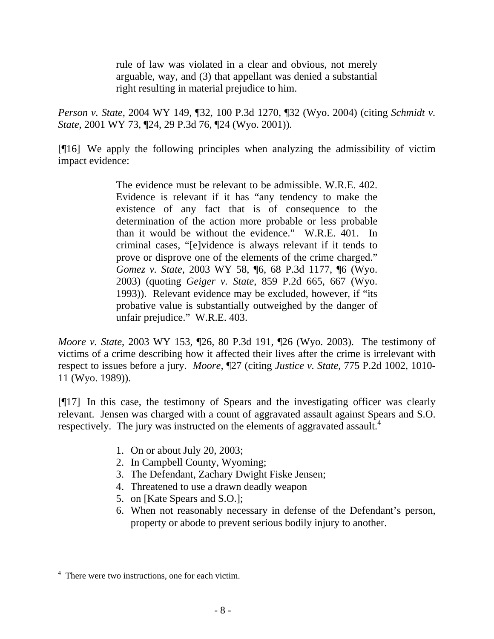rule of law was violated in a clear and obvious, not merely arguable, way, and (3) that appellant was denied a substantial right resulting in material prejudice to him.

*Person v. State*, 2004 WY 149, ¶32, 100 P.3d 1270, ¶32 (Wyo. 2004) (citing *Schmidt v. State*, 2001 WY 73, ¶24, 29 P.3d 76, ¶24 (Wyo. 2001)).

[¶16] We apply the following principles when analyzing the admissibility of victim impact evidence:

> The evidence must be relevant to be admissible. W.R.E. 402. Evidence is relevant if it has "any tendency to make the existence of any fact that is of consequence to the determination of the action more probable or less probable than it would be without the evidence." W.R.E. 401. In criminal cases, "[e]vidence is always relevant if it tends to prove or disprove one of the elements of the crime charged." *Gomez v. State*, 2003 WY 58, ¶6, 68 P.3d 1177, ¶6 (Wyo. 2003) (quoting *Geiger v. State*, 859 P.2d 665, 667 (Wyo. 1993)). Relevant evidence may be excluded, however, if "its probative value is substantially outweighed by the danger of unfair prejudice." W.R.E. 403.

*Moore v. State*, 2003 WY 153, ¶26, 80 P.3d 191, ¶26 (Wyo. 2003). The testimony of victims of a crime describing how it affected their lives after the crime is irrelevant with respect to issues before a jury. *Moore*, ¶27 (citing *Justice v. State*, 775 P.2d 1002, 1010- 11 (Wyo. 1989)).

[¶17] In this case, the testimony of Spears and the investigating officer was clearly relevant. Jensen was charged with a count of aggravated assault against Spears and S.O. respectively. The jury was instructed on the elements of aggravated assault.<sup>[4](#page-9-0)</sup>

- 1. On or about July 20, 2003;
- 2. In Campbell County, Wyoming;
- 3. The Defendant, Zachary Dwight Fiske Jensen;
- 4. Threatened to use a drawn deadly weapon
- 5. on [Kate Spears and S.O.];
- 6. When not reasonably necessary in defense of the Defendant's person, property or abode to prevent serious bodily injury to another.

 $\overline{a}$ 

<span id="page-9-0"></span><sup>&</sup>lt;sup>4</sup> There were two instructions, one for each victim.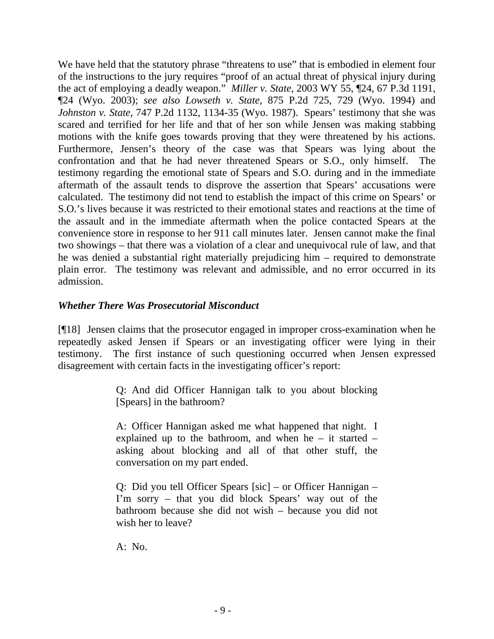We have held that the statutory phrase "threatens to use" that is embodied in element four of the instructions to the jury requires "proof of an actual threat of physical injury during the act of employing a deadly weapon." *Miller v. State*, 2003 WY 55, ¶24, 67 P.3d 1191, ¶24 (Wyo. 2003); *see also Lowseth v. State*, 875 P.2d 725, 729 (Wyo. 1994) and *Johnston v. State*, 747 P.2d 1132, 1134-35 (Wyo. 1987). Spears' testimony that she was scared and terrified for her life and that of her son while Jensen was making stabbing motions with the knife goes towards proving that they were threatened by his actions. Furthermore, Jensen's theory of the case was that Spears was lying about the confrontation and that he had never threatened Spears or S.O., only himself. The testimony regarding the emotional state of Spears and S.O. during and in the immediate aftermath of the assault tends to disprove the assertion that Spears' accusations were calculated. The testimony did not tend to establish the impact of this crime on Spears' or S.O.'s lives because it was restricted to their emotional states and reactions at the time of the assault and in the immediate aftermath when the police contacted Spears at the convenience store in response to her 911 call minutes later. Jensen cannot make the final two showings – that there was a violation of a clear and unequivocal rule of law, and that he was denied a substantial right materially prejudicing him – required to demonstrate plain error. The testimony was relevant and admissible, and no error occurred in its admission.

# *Whether There Was Prosecutorial Misconduct*

[¶18] Jensen claims that the prosecutor engaged in improper cross-examination when he repeatedly asked Jensen if Spears or an investigating officer were lying in their testimony. The first instance of such questioning occurred when Jensen expressed disagreement with certain facts in the investigating officer's report:

> Q: And did Officer Hannigan talk to you about blocking [Spears] in the bathroom?

> A: Officer Hannigan asked me what happened that night. I explained up to the bathroom, and when he – it started – asking about blocking and all of that other stuff, the conversation on my part ended.

> Q: Did you tell Officer Spears [sic] – or Officer Hannigan – I'm sorry – that you did block Spears' way out of the bathroom because she did not wish – because you did not wish her to leave?

A: No.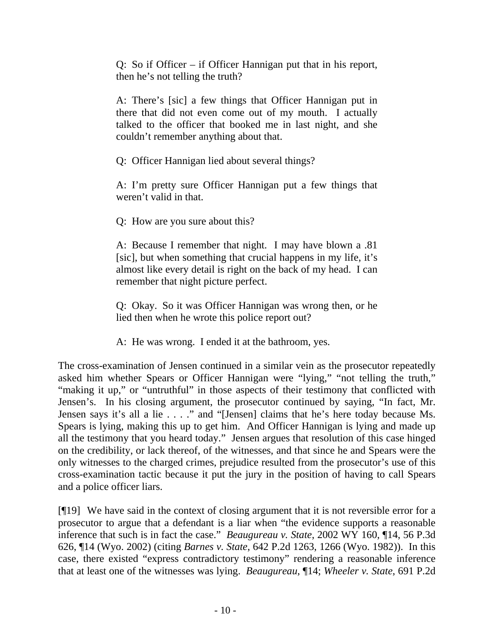Q: So if Officer – if Officer Hannigan put that in his report, then he's not telling the truth?

A: There's [sic] a few things that Officer Hannigan put in there that did not even come out of my mouth. I actually talked to the officer that booked me in last night, and she couldn't remember anything about that.

Q: Officer Hannigan lied about several things?

A: I'm pretty sure Officer Hannigan put a few things that weren't valid in that.

Q: How are you sure about this?

A: Because I remember that night. I may have blown a .81 [sic], but when something that crucial happens in my life, it's almost like every detail is right on the back of my head. I can remember that night picture perfect.

Q: Okay. So it was Officer Hannigan was wrong then, or he lied then when he wrote this police report out?

A: He was wrong. I ended it at the bathroom, yes.

The cross-examination of Jensen continued in a similar vein as the prosecutor repeatedly asked him whether Spears or Officer Hannigan were "lying," "not telling the truth," "making it up," or "untruthful" in those aspects of their testimony that conflicted with Jensen's. In his closing argument, the prosecutor continued by saying, "In fact, Mr. Jensen says it's all a lie . . . ." and "[Jensen] claims that he's here today because Ms. Spears is lying, making this up to get him. And Officer Hannigan is lying and made up all the testimony that you heard today." Jensen argues that resolution of this case hinged on the credibility, or lack thereof, of the witnesses, and that since he and Spears were the only witnesses to the charged crimes, prejudice resulted from the prosecutor's use of this cross-examination tactic because it put the jury in the position of having to call Spears and a police officer liars.

[¶19] We have said in the context of closing argument that it is not reversible error for a prosecutor to argue that a defendant is a liar when "the evidence supports a reasonable inference that such is in fact the case." *Beaugureau v. State*, 2002 WY 160, ¶14, 56 P.3d 626, ¶14 (Wyo. 2002) (citing *Barnes v. State*, 642 P.2d 1263, 1266 (Wyo. 1982)). In this case, there existed "express contradictory testimony" rendering a reasonable inference that at least one of the witnesses was lying. *Beaugureau*, ¶14; *Wheeler v. State*, 691 P.2d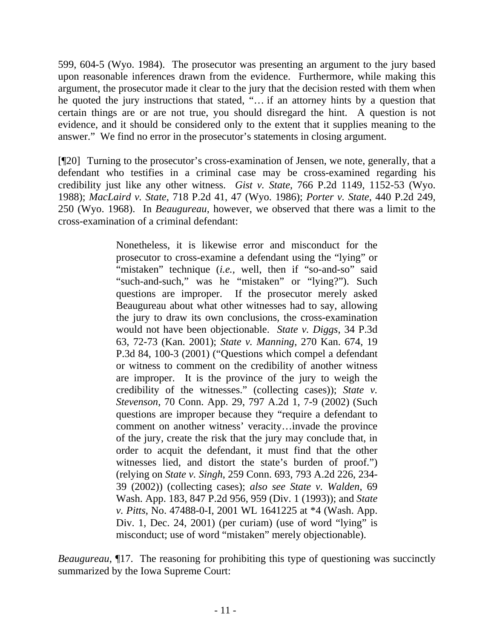599, 604-5 (Wyo. 1984). The prosecutor was presenting an argument to the jury based upon reasonable inferences drawn from the evidence. Furthermore, while making this argument, the prosecutor made it clear to the jury that the decision rested with them when he quoted the jury instructions that stated, "… if an attorney hints by a question that certain things are or are not true, you should disregard the hint. A question is not evidence, and it should be considered only to the extent that it supplies meaning to the answer." We find no error in the prosecutor's statements in closing argument.

[¶20] Turning to the prosecutor's cross-examination of Jensen, we note, generally, that a defendant who testifies in a criminal case may be cross-examined regarding his credibility just like any other witness. *Gist v. State*, 766 P.2d 1149, 1152-53 (Wyo. 1988); *MacLaird v. State*, 718 P.2d 41, 47 (Wyo. 1986); *Porter v. State*, 440 P.2d 249, 250 (Wyo. 1968). In *Beaugureau*, however, we observed that there was a limit to the cross-examination of a criminal defendant:

> Nonetheless, it is likewise error and misconduct for the prosecutor to cross-examine a defendant using the "lying" or "mistaken" technique (*i.e.*, well, then if "so-and-so" said "such-and-such," was he "mistaken" or "lying?"). Such questions are improper. If the prosecutor merely asked Beaugureau about what other witnesses had to say, allowing the jury to draw its own conclusions, the cross-examination would not have been objectionable. *State v. Diggs*, 34 P.3d 63, 72-73 (Kan. 2001); *State v. Manning*, 270 Kan. 674, 19 P.3d 84, 100-3 (2001) ("Questions which compel a defendant or witness to comment on the credibility of another witness are improper. It is the province of the jury to weigh the credibility of the witnesses." (collecting cases)); *State v. Stevenson*, 70 Conn. App. 29, 797 A.2d 1, 7-9 (2002) (Such questions are improper because they "require a defendant to comment on another witness' veracity…invade the province of the jury, create the risk that the jury may conclude that, in order to acquit the defendant, it must find that the other witnesses lied, and distort the state's burden of proof.") (relying on *State v. Singh*, 259 Conn. 693, 793 A.2d 226, 234- 39 (2002)) (collecting cases); *also see State v. Walden*, 69 Wash. App. 183, 847 P.2d 956, 959 (Div. 1 (1993)); and *State v. Pitts*, No. 47488-0-I, 2001 WL 1641225 at \*4 (Wash. App. Div. 1, Dec. 24, 2001) (per curiam) (use of word "lying" is misconduct; use of word "mistaken" merely objectionable).

*Beaugureau*, 17. The reasoning for prohibiting this type of questioning was succinctly summarized by the Iowa Supreme Court: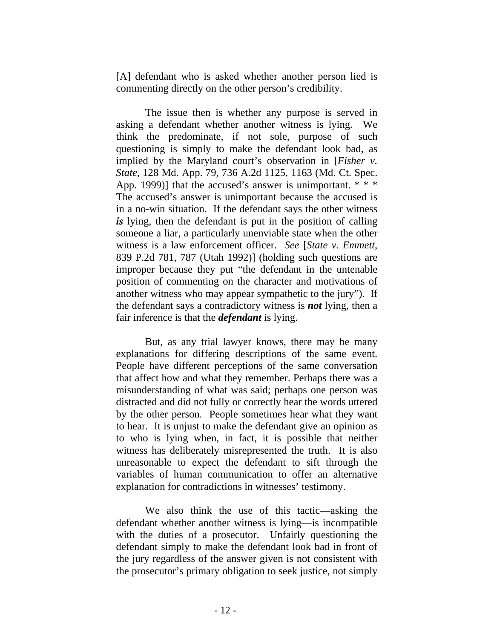[A] defendant who is asked whether another person lied is commenting directly on the other person's credibility.

The issue then is whether any purpose is served in asking a defendant whether another witness is lying. We think the predominate, if not sole, purpose of such questioning is simply to make the defendant look bad, as implied by the Maryland court's observation in [*Fisher v. State*, 128 Md. App. 79, 736 A.2d 1125, 1163 (Md. Ct. Spec. App. 1999)] that the accused's answer is unimportant.  $* * *$ The accused's answer is unimportant because the accused is in a no-win situation. If the defendant says the other witness *is* lying, then the defendant is put in the position of calling someone a liar, a particularly unenviable state when the other witness is a law enforcement officer. *See* [*State v. Emmett*, 839 P.2d 781, 787 (Utah 1992)] (holding such questions are improper because they put "the defendant in the untenable position of commenting on the character and motivations of another witness who may appear sympathetic to the jury"). If the defendant says a contradictory witness is *not* lying, then a fair inference is that the *defendant* is lying.

But, as any trial lawyer knows, there may be many explanations for differing descriptions of the same event. People have different perceptions of the same conversation that affect how and what they remember. Perhaps there was a misunderstanding of what was said; perhaps one person was distracted and did not fully or correctly hear the words uttered by the other person. People sometimes hear what they want to hear. It is unjust to make the defendant give an opinion as to who is lying when, in fact, it is possible that neither witness has deliberately misrepresented the truth. It is also unreasonable to expect the defendant to sift through the variables of human communication to offer an alternative explanation for contradictions in witnesses' testimony.

We also think the use of this tactic—asking the defendant whether another witness is lying—is incompatible with the duties of a prosecutor. Unfairly questioning the defendant simply to make the defendant look bad in front of the jury regardless of the answer given is not consistent with the prosecutor's primary obligation to seek justice, not simply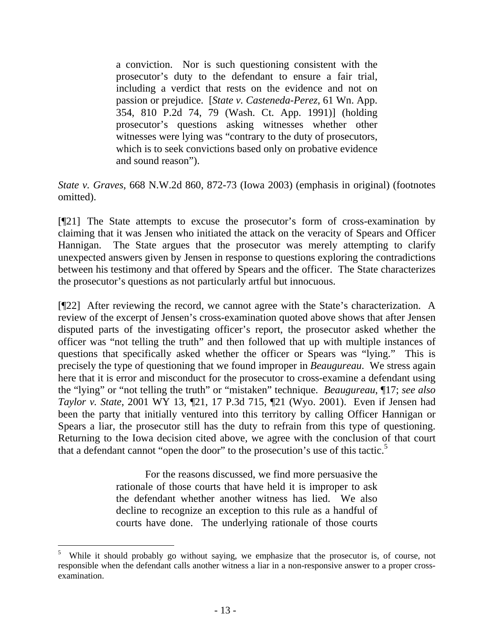a conviction. Nor is such questioning consistent with the prosecutor's duty to the defendant to ensure a fair trial, including a verdict that rests on the evidence and not on passion or prejudice. [*State v. Casteneda-Perez*, 61 Wn. App. 354, 810 P.2d 74, 79 (Wash. Ct. App. 1991)] (holding prosecutor's questions asking witnesses whether other witnesses were lying was "contrary to the duty of prosecutors, which is to seek convictions based only on probative evidence and sound reason").

*State v. Graves*, 668 N.W.2d 860, 872-73 (Iowa 2003) (emphasis in original) (footnotes omitted).

[¶21] The State attempts to excuse the prosecutor's form of cross-examination by claiming that it was Jensen who initiated the attack on the veracity of Spears and Officer Hannigan. The State argues that the prosecutor was merely attempting to clarify unexpected answers given by Jensen in response to questions exploring the contradictions between his testimony and that offered by Spears and the officer. The State characterizes the prosecutor's questions as not particularly artful but innocuous.

[¶22] After reviewing the record, we cannot agree with the State's characterization. A review of the excerpt of Jensen's cross-examination quoted above shows that after Jensen disputed parts of the investigating officer's report, the prosecutor asked whether the officer was "not telling the truth" and then followed that up with multiple instances of questions that specifically asked whether the officer or Spears was "lying." This is precisely the type of questioning that we found improper in *Beaugureau*. We stress again here that it is error and misconduct for the prosecutor to cross-examine a defendant using the "lying" or "not telling the truth" or "mistaken" technique. *Beaugureau*, ¶17; *see also Taylor v. State*, 2001 WY 13, ¶21, 17 P.3d 715, ¶21 (Wyo. 2001). Even if Jensen had been the party that initially ventured into this territory by calling Officer Hannigan or Spears a liar, the prosecutor still has the duty to refrain from this type of questioning. Returning to the Iowa decision cited above, we agree with the conclusion of that court that a defendant cannot "open the door" to the prosecution's use of this tactic.<sup>[5](#page-14-0)</sup>

> For the reasons discussed, we find more persuasive the rationale of those courts that have held it is improper to ask the defendant whether another witness has lied. We also decline to recognize an exception to this rule as a handful of courts have done. The underlying rationale of those courts

<span id="page-14-0"></span><sup>5</sup> While it should probably go without saying, we emphasize that the prosecutor is, of course, not responsible when the defendant calls another witness a liar in a non-responsive answer to a proper crossexamination.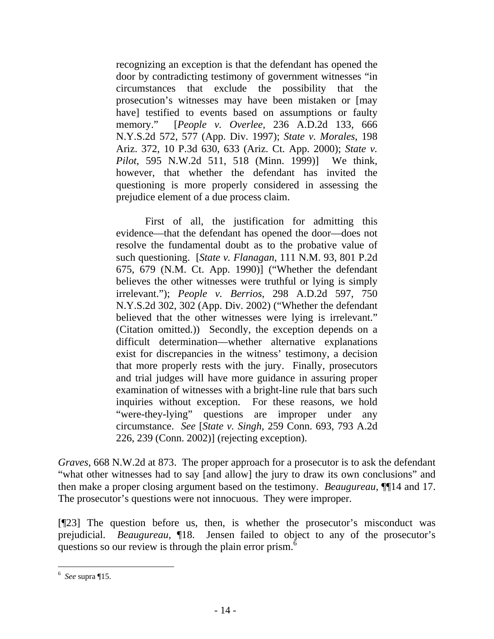recognizing an exception is that the defendant has opened the door by contradicting testimony of government witnesses "in circumstances that exclude the possibility that the prosecution's witnesses may have been mistaken or [may have] testified to events based on assumptions or faulty memory." [*People v. Overlee*, 236 A.D.2d 133, 666 N.Y.S.2d 572, 577 (App. Div. 1997); *State v. Morales*, 198 Ariz. 372, 10 P.3d 630, 633 (Ariz. Ct. App. 2000); *State v. Pilot*, 595 N.W.2d 511, 518 (Minn. 1999)] We think, however, that whether the defendant has invited the questioning is more properly considered in assessing the prejudice element of a due process claim.

First of all, the justification for admitting this evidence—that the defendant has opened the door—does not resolve the fundamental doubt as to the probative value of such questioning. [*State v. Flanagan*, 111 N.M. 93, 801 P.2d 675, 679 (N.M. Ct. App. 1990)] ("Whether the defendant believes the other witnesses were truthful or lying is simply irrelevant."); *People v. Berrios*, 298 A.D.2d 597, 750 N.Y.S.2d 302, 302 (App. Div. 2002) ("Whether the defendant believed that the other witnesses were lying is irrelevant." (Citation omitted.)) Secondly, the exception depends on a difficult determination—whether alternative explanations exist for discrepancies in the witness' testimony, a decision that more properly rests with the jury. Finally, prosecutors and trial judges will have more guidance in assuring proper examination of witnesses with a bright-line rule that bars such inquiries without exception. For these reasons, we hold "were-they-lying" questions are improper under any circumstance. *See* [*State v. Singh*, 259 Conn. 693, 793 A.2d 226, 239 (Conn. 2002)] (rejecting exception).

*Graves*, 668 N.W.2d at 873. The proper approach for a prosecutor is to ask the defendant "what other witnesses had to say [and allow] the jury to draw its own conclusions" and then make a proper closing argument based on the testimony. *Beaugureau*, ¶¶14 and 17. The prosecutor's questions were not innocuous. They were improper.

[¶23] The question before us, then, is whether the prosecutor's misconduct was prejudicial. *Beaugureau*, ¶18. Jensen failed to object to any of the prosecutor's questions so our review is through the plain error prism.<sup>[6](#page-15-0)</sup>

<span id="page-15-0"></span> $\overline{a}$ 6 *See* supra ¶15.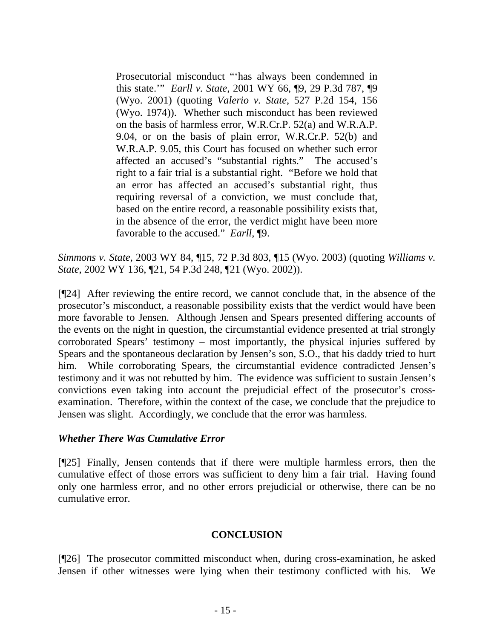Prosecutorial misconduct "'has always been condemned in this state.'" *Earll v. State*, 2001 WY 66, ¶9, 29 P.3d 787, ¶9 (Wyo. 2001) (quoting *Valerio v. State*, 527 P.2d 154, 156 (Wyo. 1974)). Whether such misconduct has been reviewed on the basis of harmless error, W.R.Cr.P. 52(a) and W.R.A.P. 9.04, or on the basis of plain error, W.R.Cr.P. 52(b) and W.R.A.P. 9.05, this Court has focused on whether such error affected an accused's "substantial rights." The accused's right to a fair trial is a substantial right. "Before we hold that an error has affected an accused's substantial right, thus requiring reversal of a conviction, we must conclude that, based on the entire record, a reasonable possibility exists that, in the absence of the error, the verdict might have been more favorable to the accused." *Earll*, ¶9.

*Simmons v. State*, 2003 WY 84, ¶15, 72 P.3d 803, ¶15 (Wyo. 2003) (quoting *Williams v. State*, 2002 WY 136, ¶21, 54 P.3d 248, ¶21 (Wyo. 2002)).

[¶24] After reviewing the entire record, we cannot conclude that, in the absence of the prosecutor's misconduct, a reasonable possibility exists that the verdict would have been more favorable to Jensen. Although Jensen and Spears presented differing accounts of the events on the night in question, the circumstantial evidence presented at trial strongly corroborated Spears' testimony – most importantly, the physical injuries suffered by Spears and the spontaneous declaration by Jensen's son, S.O., that his daddy tried to hurt him. While corroborating Spears, the circumstantial evidence contradicted Jensen's testimony and it was not rebutted by him. The evidence was sufficient to sustain Jensen's convictions even taking into account the prejudicial effect of the prosecutor's crossexamination. Therefore, within the context of the case, we conclude that the prejudice to Jensen was slight. Accordingly, we conclude that the error was harmless.

#### *Whether There Was Cumulative Error*

[¶25] Finally, Jensen contends that if there were multiple harmless errors, then the cumulative effect of those errors was sufficient to deny him a fair trial. Having found only one harmless error, and no other errors prejudicial or otherwise, there can be no cumulative error.

#### **CONCLUSION**

[¶26] The prosecutor committed misconduct when, during cross-examination, he asked Jensen if other witnesses were lying when their testimony conflicted with his. We